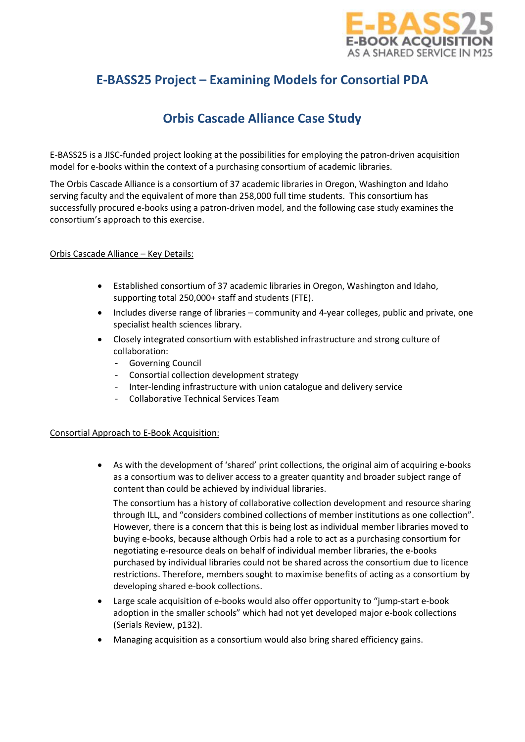

# **E-BASS25 Project – Examining Models for Consortial PDA**

# **Orbis Cascade Alliance Case Study**

E-BASS25 is a JISC-funded project looking at the possibilities for employing the patron-driven acquisition model for e-books within the context of a purchasing consortium of academic libraries.

The Orbis Cascade Alliance is a consortium of 37 academic libraries in Oregon, Washington and Idaho serving faculty and the equivalent of more than 258,000 full time students. This consortium has successfully procured e-books using a patron-driven model, and the following case study examines the consortium's approach to this exercise.

# Orbis Cascade Alliance – Key Details:

- Established consortium of 37 academic libraries in Oregon, Washington and Idaho, supporting total 250,000+ staff and students (FTE).
- Includes diverse range of libraries community and 4-year colleges, public and private, one specialist health sciences library.
- Closely integrated consortium with established infrastructure and strong culture of collaboration:
	- Governing Council
	- Consortial collection development strategy
	- Inter-lending infrastructure with union catalogue and delivery service
	- Collaborative Technical Services Team

#### Consortial Approach to E-Book Acquisition:

• As with the development of 'shared' print collections, the original aim of acquiring e-books as a consortium was to deliver access to a greater quantity and broader subject range of content than could be achieved by individual libraries.

The consortium has a history of collaborative collection development and resource sharing through ILL, and "considers combined collections of member institutions as one collection". However, there is a concern that this is being lost as individual member libraries moved to buying e-books, because although Orbis had a role to act as a purchasing consortium for negotiating e-resource deals on behalf of individual member libraries, the e-books purchased by individual libraries could not be shared across the consortium due to licence restrictions. Therefore, members sought to maximise benefits of acting as a consortium by developing shared e-book collections.

- Large scale acquisition of e-books would also offer opportunity to "jump-start e-book adoption in the smaller schools" which had not yet developed major e-book collections (Serials Review, p132).
- Managing acquisition as a consortium would also bring shared efficiency gains.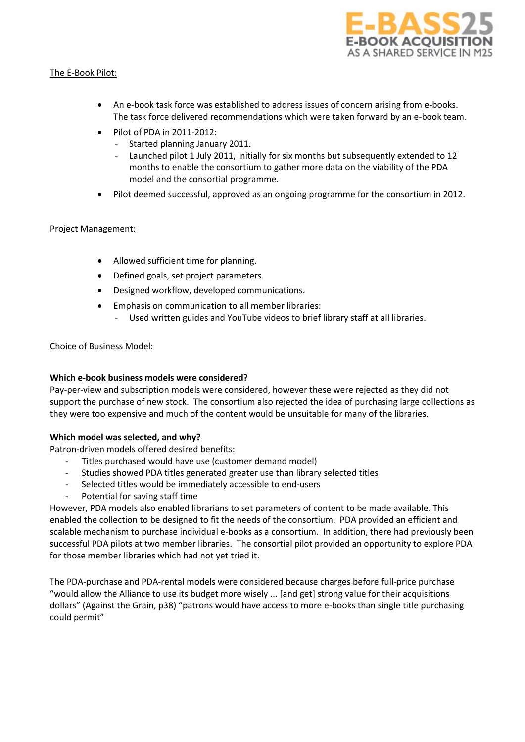

# The E-Book Pilot:

- An e-book task force was established to address issues of concern arising from e-books. The task force delivered recommendations which were taken forward by an e-book team.
- Pilot of PDA in 2011-2012:
	- Started planning January 2011.
	- Launched pilot 1 July 2011, initially for six months but subsequently extended to 12 months to enable the consortium to gather more data on the viability of the PDA model and the consortial programme.
- Pilot deemed successful, approved as an ongoing programme for the consortium in 2012.

# Project Management:

- Allowed sufficient time for planning.
- Defined goals, set project parameters.
- Designed workflow, developed communications.
- Emphasis on communication to all member libraries:
	- Used written guides and YouTube videos to brief library staff at all libraries.

# Choice of Business Model:

# **Which e-book business models were considered?**

Pay-per-view and subscription models were considered, however these were rejected as they did not support the purchase of new stock. The consortium also rejected the idea of purchasing large collections as they were too expensive and much of the content would be unsuitable for many of the libraries.

# **Which model was selected, and why?**

Patron-driven models offered desired benefits:

- Titles purchased would have use (customer demand model)
- Studies showed PDA titles generated greater use than library selected titles
- Selected titles would be immediately accessible to end-users
- Potential for saving staff time

However, PDA models also enabled librarians to set parameters of content to be made available. This enabled the collection to be designed to fit the needs of the consortium. PDA provided an efficient and scalable mechanism to purchase individual e-books as a consortium. In addition, there had previously been successful PDA pilots at two member libraries. The consortial pilot provided an opportunity to explore PDA for those member libraries which had not yet tried it.

The PDA-purchase and PDA-rental models were considered because charges before full-price purchase "would allow the Alliance to use its budget more wisely ... [and get] strong value for their acquisitions dollars" (Against the Grain, p38) "patrons would have access to more e-books than single title purchasing could permit"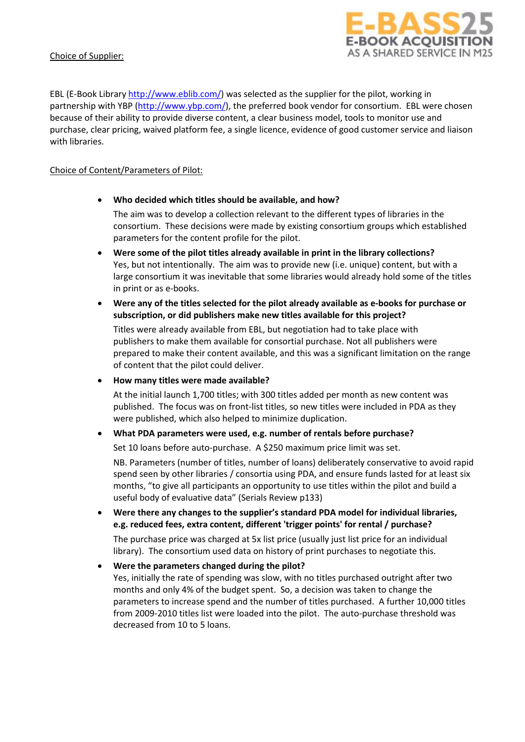# Choice of Supplier:



EBL (E-Book Library [http://www.eblib.com/\)](http://www.eblib.com/) was selected as the supplier for the pilot, working in partnership with YBP [\(http://www.ybp.com/\)](http://www.ybp.com/), the preferred book vendor for consortium. EBL were chosen because of their ability to provide diverse content, a clear business model, tools to monitor use and purchase, clear pricing, waived platform fee, a single licence, evidence of good customer service and liaison with libraries.

# Choice of Content/Parameters of Pilot:

# • **Who decided which titles should be available, and how?**

The aim was to develop a collection relevant to the different types of libraries in the consortium. These decisions were made by existing consortium groups which established parameters for the content profile for the pilot.

- **Were some of the pilot titles already available in print in the library collections?** Yes, but not intentionally. The aim was to provide new (i.e. unique) content, but with a large consortium it was inevitable that some libraries would already hold some of the titles in print or as e-books.
- **Were any of the titles selected for the pilot already available as e-books for purchase or subscription, or did publishers make new titles available for this project?**

Titles were already available from EBL, but negotiation had to take place with publishers to make them available for consortial purchase. Not all publishers were prepared to make their content available, and this was a significant limitation on the range of content that the pilot could deliver.

• **How many titles were made available?**

At the initial launch 1,700 titles; with 300 titles added per month as new content was published. The focus was on front-list titles, so new titles were included in PDA as they were published, which also helped to minimize duplication.

#### • **What PDA parameters were used, e.g. number of rentals before purchase?**

Set 10 loans before auto-purchase. A \$250 maximum price limit was set.

NB. Parameters (number of titles, number of loans) deliberately conservative to avoid rapid spend seen by other libraries / consortia using PDA, and ensure funds lasted for at least six months, "to give all participants an opportunity to use titles within the pilot and build a useful body of evaluative data" (Serials Review p133)

# • **Were there any changes to the supplier's standard PDA model for individual libraries, e.g. reduced fees, extra content, different 'trigger points' for rental / purchase?**

The purchase price was charged at 5x list price (usually just list price for an individual library). The consortium used data on history of print purchases to negotiate this.

# • **Were the parameters changed during the pilot?**

Yes, initially the rate of spending was slow, with no titles purchased outright after two months and only 4% of the budget spent. So, a decision was taken to change the parameters to increase spend and the number of titles purchased. A further 10,000 titles from 2009-2010 titles list were loaded into the pilot. The auto-purchase threshold was decreased from 10 to 5 loans.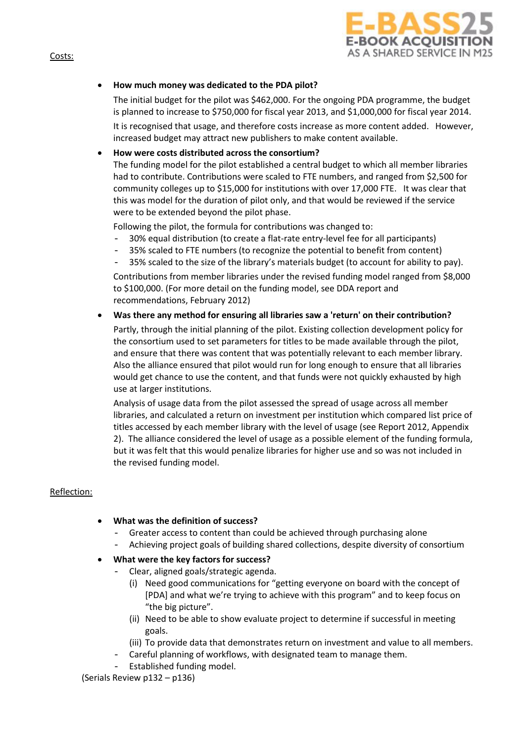

# • **How much money was dedicated to the PDA pilot?**

The initial budget for the pilot was \$462,000. For the ongoing PDA programme, the budget is planned to increase to \$750,000 for fiscal year 2013, and \$1,000,000 for fiscal year 2014.

It is recognised that usage, and therefore costs increase as more content added. However, increased budget may attract new publishers to make content available.

## • **How were costs distributed across the consortium?**

The funding model for the pilot established a central budget to which all member libraries had to contribute. Contributions were scaled to FTE numbers, and ranged from \$2,500 for community colleges up to \$15,000 for institutions with over 17,000 FTE. It was clear that this was model for the duration of pilot only, and that would be reviewed if the service were to be extended beyond the pilot phase.

Following the pilot, the formula for contributions was changed to:

- 30% equal distribution (to create a flat-rate entry-level fee for all participants)
- 35% scaled to FTE numbers (to recognize the potential to benefit from content)
- 35% scaled to the size of the library's materials budget (to account for ability to pay).

Contributions from member libraries under the revised funding model ranged from \$8,000 to \$100,000. (For more detail on the funding model, see DDA report and recommendations, February 2012)

#### • **Was there any method for ensuring all libraries saw a 'return' on their contribution?**

Partly, through the initial planning of the pilot. Existing collection development policy for the consortium used to set parameters for titles to be made available through the pilot, and ensure that there was content that was potentially relevant to each member library. Also the alliance ensured that pilot would run for long enough to ensure that all libraries would get chance to use the content, and that funds were not quickly exhausted by high use at larger institutions.

Analysis of usage data from the pilot assessed the spread of usage across all member libraries, and calculated a return on investment per institution which compared list price of titles accessed by each member library with the level of usage (see Report 2012, Appendix 2). The alliance considered the level of usage as a possible element of the funding formula, but it was felt that this would penalize libraries for higher use and so was not included in the revised funding model.

#### Reflection:

#### • **What was the definition of success?**

- Greater access to content than could be achieved through purchasing alone
- Achieving project goals of building shared collections, despite diversity of consortium
- **What were the key factors for success?**
	- Clear, aligned goals/strategic agenda.
		- (i) Need good communications for "getting everyone on board with the concept of [PDA] and what we're trying to achieve with this program" and to keep focus on "the big picture".
		- (ii) Need to be able to show evaluate project to determine if successful in meeting goals.
		- (iii) To provide data that demonstrates return on investment and value to all members.
		- Careful planning of workflows, with designated team to manage them.
	- Established funding model.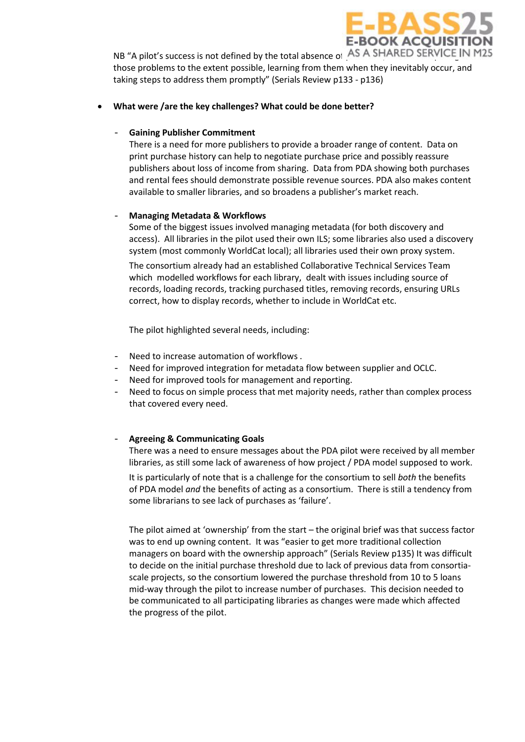

NB "A pilot's success is not defined by the total absence of AS A SHARED SERVICE IN M25 those problems to the extent possible, learning from them when they inevitably occur, and taking steps to address them promptly" (Serials Review p133 - p136)

## • **What were /are the key challenges? What could be done better?**

# - **Gaining Publisher Commitment**

There is a need for more publishers to provide a broader range of content. Data on print purchase history can help to negotiate purchase price and possibly reassure publishers about loss of income from sharing. Data from PDA showing both purchases and rental fees should demonstrate possible revenue sources. PDA also makes content available to smaller libraries, and so broadens a publisher's market reach.

# - **Managing Metadata & Workflows**

Some of the biggest issues involved managing metadata (for both discovery and access). All libraries in the pilot used their own ILS; some libraries also used a discovery system (most commonly WorldCat local); all libraries used their own proxy system.

The consortium already had an established Collaborative Technical Services Team which modelled workflows for each library, dealt with issues including source of records, loading records, tracking purchased titles, removing records, ensuring URLs correct, how to display records, whether to include in WorldCat etc.

The pilot highlighted several needs, including:

- Need to increase automation of workflows .
- Need for improved integration for metadata flow between supplier and OCLC.
- Need for improved tools for management and reporting.
- Need to focus on simple process that met majority needs, rather than complex process that covered every need.

# - **Agreeing & Communicating Goals**

There was a need to ensure messages about the PDA pilot were received by all member libraries, as still some lack of awareness of how project / PDA model supposed to work.

It is particularly of note that is a challenge for the consortium to sell *both* the benefits of PDA model *and* the benefits of acting as a consortium. There is still a tendency from some librarians to see lack of purchases as 'failure'.

The pilot aimed at 'ownership' from the start – the original brief was that success factor was to end up owning content. It was "easier to get more traditional collection managers on board with the ownership approach" (Serials Review p135) It was difficult to decide on the initial purchase threshold due to lack of previous data from consortiascale projects, so the consortium lowered the purchase threshold from 10 to 5 loans mid-way through the pilot to increase number of purchases. This decision needed to be communicated to all participating libraries as changes were made which affected the progress of the pilot.